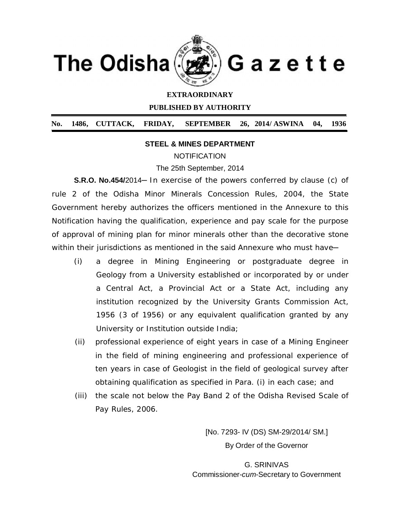

## **EXTRAORDINARY**

**PUBLISHED BY AUTHORITY**

**No. 1486, CUTTACK, FRIDAY, SEPTEMBER 26, 2014/ ASWINA 04, 1936**

## **STEEL & MINES DEPARTMENT**

**NOTIFICATION** 

The 25th September, 2014

**S.R.O. No.454/2014** In exercise of the powers conferred by clause (c) of rule 2 of the Odisha Minor Minerals Concession Rules, 2004, the State Government hereby authorizes the officers mentioned in the *Annexure* to this Notification having the qualification, experience and pay scale for the purpose of approval of mining plan for minor minerals other than the decorative stone within their jurisdictions as mentioned in the said Annexure who must have-

- (i) a degree in Mining Engineering or postgraduate degree in Geology from a University established or incorporated by or under a Central Act, a Provincial Act or a State Act, including any institution recognized by the University Grants Commission Act, 1956 (3 of 1956) or any equivalent qualification granted by any University or Institution outside India;
- (ii) professional experience of eight years in case of a Mining Engineer in the field of mining engineering and professional experience of ten years in case of Geologist in the field of geological survey after obtaining qualification as specified in Para. (i) in each case; and
- (iii) the scale not below the Pay Band 2 of the Odisha Revised Scale of Pay Rules, 2006.

[No. 7293- IV (DS) SM-29/2014/ SM.] By Order of the Governor

G. SRINIVAS Commissioner-*cum*-Secretary to Government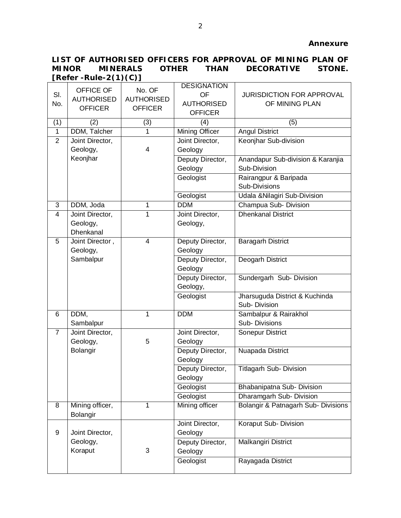## **LIST OF AUTHORISED OFFICERS FOR APPROVAL OF MINING PLAN OF MINOR MINERALS OTHER THAN DECORATIVE STONE. [Refer -Rule-2(1)(C)]**

|                |                   |                   | <b>DESIGNATION</b>    |                                     |
|----------------|-------------------|-------------------|-----------------------|-------------------------------------|
| SI.            | OFFICE OF         | No. OF            | <b>OF</b>             | <b>JURISDICTION FOR APPROVAL</b>    |
| No.            | <b>AUTHORISED</b> | <b>AUTHORISED</b> | <b>AUTHORISED</b>     | OF MINING PLAN                      |
|                | <b>OFFICER</b>    | <b>OFFICER</b>    | <b>OFFICER</b>        |                                     |
| (1)            | (2)               | (3)               | (4)                   | (5)                                 |
| $\overline{1}$ | DDM, Talcher      | 1                 | <b>Mining Officer</b> | <b>Angul District</b>               |
| $\overline{2}$ | Joint Director,   |                   | Joint Director,       | Keonjhar Sub-division               |
|                | Geology,          | 4                 | Geology               |                                     |
|                | Keonjhar          |                   |                       |                                     |
|                |                   |                   | Deputy Director,      | Anandapur Sub-division & Karanjia   |
|                |                   |                   | Geology               | Sub-Division                        |
|                |                   |                   | Geologist             | Rairangpur & Baripada               |
|                |                   |                   |                       | Sub-Divisions                       |
|                |                   |                   | Geologist             | Udala & Nilagiri Sub-Division       |
| 3              | DDM, Joda         | 1                 | <b>DDM</b>            | Champua Sub- Division               |
| $\overline{4}$ | Joint Director,   | 1                 | Joint Director,       | <b>Dhenkanal District</b>           |
|                | Geology,          |                   | Geology,              |                                     |
|                | Dhenkanal         |                   |                       |                                     |
| 5              | Joint Director,   | $\overline{4}$    | Deputy Director,      | <b>Baragarh District</b>            |
|                | Geology,          |                   | Geology               |                                     |
|                | Sambalpur         |                   | Deputy Director,      | <b>Deogarh District</b>             |
|                |                   |                   | Geology               |                                     |
|                |                   |                   | Deputy Director,      | Sundergarh Sub-Division             |
|                |                   |                   | Geology,              |                                     |
|                |                   |                   | Geologist             | Jharsuguda District & Kuchinda      |
|                |                   |                   |                       | Sub-Division                        |
| 6              | DDM,              | 1                 | <b>DDM</b>            | Sambalpur & Rairakhol               |
|                | Sambalpur         |                   |                       | Sub-Divisions                       |
| 7              | Joint Director,   |                   | Joint Director,       | <b>Sonepur District</b>             |
|                | Geology,          | 5                 | Geology               |                                     |
|                | Bolangir          |                   | Deputy Director,      | Nuapada District                    |
|                |                   |                   | Geology               |                                     |
|                |                   |                   | Deputy Director,      | <b>Titlagarh Sub- Division</b>      |
|                |                   |                   | Geology               |                                     |
|                |                   |                   | Geologist             | Bhabanipatna Sub- Division          |
|                |                   |                   | Geologist             | Dharamgarh Sub- Division            |
| 8              | Mining officer,   | 1                 | Mining officer        | Bolangir & Patnagarh Sub- Divisions |
|                | Bolangir          |                   |                       |                                     |
|                |                   |                   | Joint Director,       | Koraput Sub- Division               |
| 9              | Joint Director,   |                   | Geology               |                                     |
|                | Geology,          |                   | Deputy Director,      | Malkangiri District                 |
|                | Koraput           | 3                 | Geology               |                                     |
|                |                   |                   | Geologist             | Rayagada District                   |
|                |                   |                   |                       |                                     |